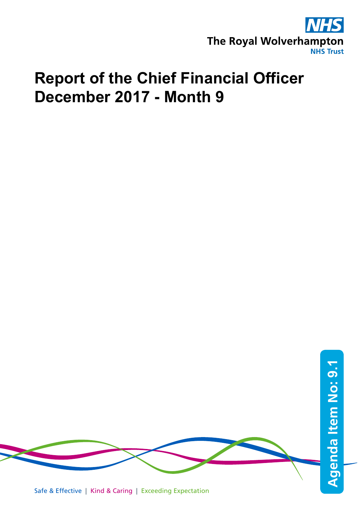

## **Report of the Chief Financial Officer December 2017 - Month 9**



Safe & Effective | Kind & Caring | Exceeding Expectation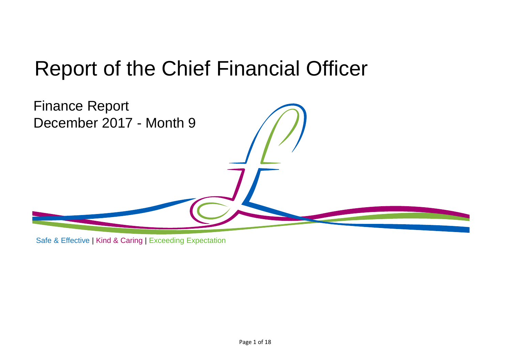# Report of the Chief Financial Officer



Safe & Effective | Kind & Caring | Exceeding Expectation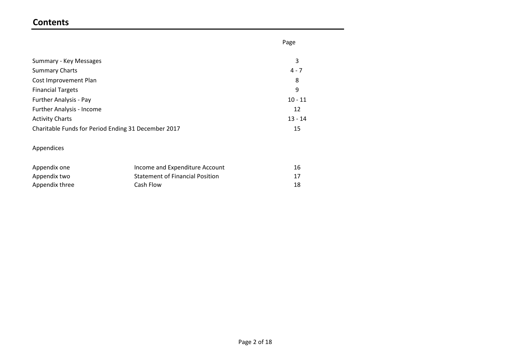## **Contents**

|                                                     | Page      |
|-----------------------------------------------------|-----------|
| Summary - Key Messages                              | 3         |
| <b>Summary Charts</b>                               | $4 - 7$   |
| Cost Improvement Plan                               | 8         |
| <b>Financial Targets</b>                            | 9         |
| <b>Further Analysis - Pay</b>                       | $10 - 11$ |
| <b>Further Analysis - Income</b>                    | 12        |
| <b>Activity Charts</b>                              | $13 - 14$ |
| Charitable Funds for Period Ending 31 December 2017 | 15        |
|                                                     |           |
| Appendices                                          |           |

| Appendix one   | Income and Expenditure Account         | 16 |
|----------------|----------------------------------------|----|
| Appendix two   | <b>Statement of Financial Position</b> | 17 |
| Appendix three | Cash Flow                              | 18 |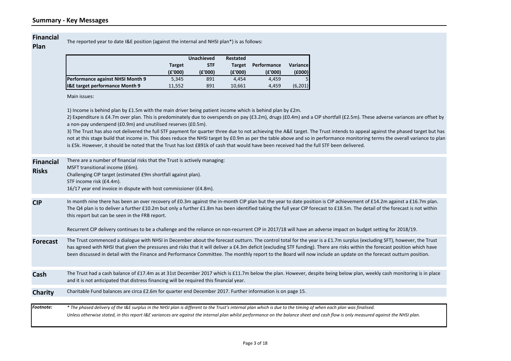#### **Financial**

**Plan**

The reported year to date I&E position (against the internal and NHSI plan\*) is as follows:

|                                  |               | <b>Unachieved</b> | Restated      |             |          |
|----------------------------------|---------------|-------------------|---------------|-------------|----------|
|                                  | <b>Target</b> | <b>STF</b>        | <b>Target</b> | Performance | Variance |
|                                  | (£'000)       | (E'000)           | (£'000)       | (E'000)     | (£000)   |
| Performance against NHSI Month 9 | 5.345         | 891               | 4.454         | 4.459       |          |
| I&E target performance Month 9   | 11,552        | 891               | 10,661        | 4.459       | (6,201)  |

Main issues:

1) Income is behind plan by £1.5m with the main driver being patient income which is behind plan by £2m.

2) Expenditure is £4.7m over plan. This is predominately due to overspends on pay (£3.2m), drugs (£0.4m) and a CIP shortfall (£2.5m). These adverse variances are offset by a non-pay underspend (£0.9m) and unutilised reserves (£0.5m).

3) The Trust has also not delivered the full STF payment for quarter three due to not achieving the A&E target. The Trust intends to appeal against the phased target but has not at this stage build that income in. This does reduce the NHSI target by £0.9m as per the table above and so in performance monitoring terms the overall variance to plan is £5k. However, it should be noted that the Trust has lost £891k of cash that would have been received had the full STF been delivered.

| <b>Financial</b><br><b>Risks</b> | There are a number of financial risks that the Trust is actively managing:<br>MSFT transitional income (£6m).<br>Challenging CIP target (estimated £9m shortfall against plan).<br>STF income risk (£4.4m).<br>16/17 year end invoice in dispute with host commissioner (£4.8m).                                                                                                                                                                                                                                                                                            |
|----------------------------------|-----------------------------------------------------------------------------------------------------------------------------------------------------------------------------------------------------------------------------------------------------------------------------------------------------------------------------------------------------------------------------------------------------------------------------------------------------------------------------------------------------------------------------------------------------------------------------|
| <b>CIP</b>                       | In month nine there has been an over recovery of £0.3m against the in-month CIP plan but the year to date position is CIP achievement of £14.2m against a £16.7m plan.<br>The Q4 plan is to deliver a further £10.2m but only a further £1.8m has been identified taking the full year CIP forecast to £18.5m. The detail of the forecast is not within<br>this report but can be seen in the FRB report.<br>Recurrent CIP delivery continues to be a challenge and the reliance on non-recurrent CIP in 2017/18 will have an adverse impact on budget setting for 2018/19. |
| <b>Forecast</b>                  | The Trust commenced a dialogue with NHSI in December about the forecast outturn. The control total for the year is a £1.7m surplus (excluding SFT), however, the Trust<br>has agreed with NHSI that given the pressures and risks that it will deliver a £4.3m deficit (excluding STF funding). There are risks within the forecast position which have<br>been discussed in detail with the Finance and Performance Committee. The monthly report to the Board will now include an update on the forecast outturn position.                                                |
| Cash                             | The Trust had a cash balance of £17.4m as at 31st December 2017 which is £11.7m below the plan. However, despite being below plan, weekly cash monitoring is in place<br>and it is not anticipated that distress financing will be required this financial year.                                                                                                                                                                                                                                                                                                            |
| Charity                          | Charitable Fund balances are circa £2.6m for quarter end December 2017. Further information is on page 15.                                                                                                                                                                                                                                                                                                                                                                                                                                                                  |
| Footnote:                        | * The phased delivery of the I&E surplus in the NHSI plan is different to the Trust's internal plan which is due to the timing of when each plan was finalised.<br>Unless otherwise stated, in this report I&E variances are against the internal plan whilst performance on the balance sheet and cash flow is only measured against the NHSI plan.                                                                                                                                                                                                                        |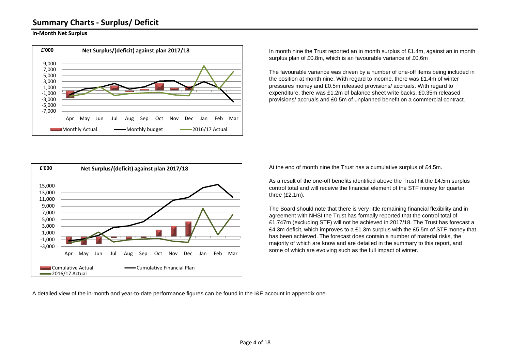## **Summary Charts - Surplus/ Deficit**

#### **In-Month Net Surplus**



In month nine the Trust reported an in month surplus of £1.4m, against an in month surplus plan of £0.8m, which is an favourable variance of £0.6m

The favourable variance was driven by a number of one-off items being included in the position at month nine. With regard to income, there was £1.4m of winter pressures money and £0.5m released provisions/ accruals. With regard to expenditure, there was £1.2m of balance sheet write backs, £0.35m released provisions/ accruals and £0.5m of unplanned benefit on a commercial contract.



At the end of month nine the Trust has a cumulative surplus of £4.5m.

As a result of the one-off benefits identified above the Trust hit the £4.5m surplus control total and will receive the financial element of the STF money for quarter three (£2.1m).

The Board should note that there is very little remaining financial flexibility and in agreement with NHSI the Trust has formally reported that the control total of £1.747m (excluding STF) will not be achieved in 2017/18. The Trust has forecast a £4.3m deficit, which improves to a £1.3m surplus with the £5.5m of STF money that has been achieved. The forecast does contain a number of material risks, the majority of which are know and are detailed in the summary to this report, and some of which are evolving such as the full impact of winter.

A detailed view of the in-month and year-to-date performance figures can be found in the I&E account in appendix one.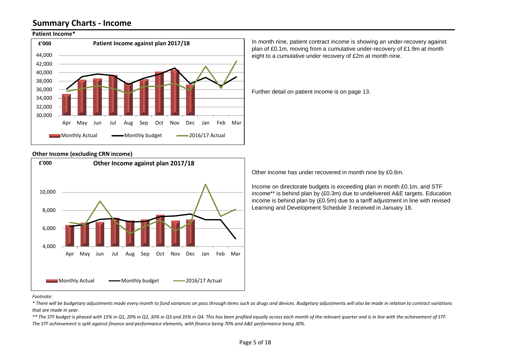## **Summary Charts - Income**

#### **Patient Income\***



#### **Other Income (excluding CRN income)**



In month nine, patient contract income is showing an under-recovery against plan of £0.1m, moving from a cumulative under-recovery of £1.9m at month eight to a cumulative under recovery of £2m at month nine.

Further detail on patient income is on page 13.

Other income has under recovered in month nine by £0.6m.

Income on directorate budgets is exceeding plan in month £0.1m, and STF income\*\* is behind plan by (£0.3m) due to undelivered A&E targets. Education income is behind plan by (£0.5m) due to a tariff adjustment in line with revised Learning and Development Schedule 3 received in January 18.

#### *Footnote:*

*\* There will be budgetary adjustments made every month to fund variances on pass through items such as drugs and devices. Budgetary adjustments will also be made in relation to contract variations that are made in year.*

*\*\* The STF budget is phased with 15% in Q1, 20% in Q2, 30% in Q3 and 35% in Q4. This has been profiled equally across each month of the relevant quarter and is in line with the achievement of STF. The STF achievement is split against finance and performance elements, with finance being 70% and A&E performance being 30%.*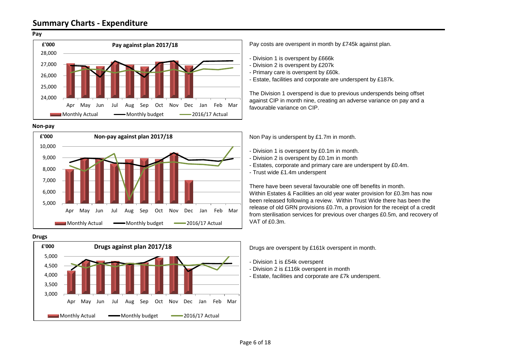#### **Pay**



#### **Non-pay**



#### **Drugs**



Pay costs are overspent in month by £745k against plan.

- Division 1 is overspent by £666k
- Division 2 is overspent by £207k
- Primary care is overspent by £60k.
- Estate, facilities and corporate are underspent by £187k.

The Division 1 overspend is due to previous underspends being offset against CIP in month nine, creating an adverse variance on pay and a favourable variance on CIP.

Non Pay is underspent by £1.7m in month.

- Division 1 is overspent by £0.1m in month.
- Division 2 is overspent by £0.1m in month
- Estates, corporate and primary care are underspent by £0.4m.
- Trust wide £1.4m underspent

There have been several favourable one off benefits in month. Within Estates & Facilities an old year water provision for £0.3m has now been released following a review. Within Trust Wide there has been the release of old GRN provisions £0.7m, a provision for the receipt of a credit from sterilisation services for previous over charges £0.5m, and recovery of VAT of £0.3m.

Drugs are overspent by £161k overspent in month.

- Division 1 is £54k overspent

- Division 2 is £116k overspent in month
- Estate, facilities and corporate are £7k underspent.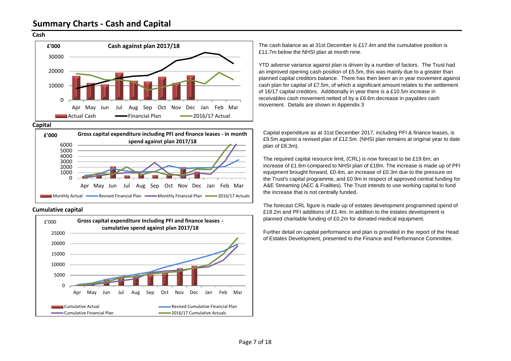#### **Cash**



**Capital**







The cash balance as at 31st December is £17.4m and the cumulative position is £11.7m below the NHSI plan at month nine.

YTD adverse variance against plan is driven by a number of factors. The Trust had an improved opening cash position of £5.5m, this was mainly due to a greater than planned capital creditors balance. There has then been an in year movement against cash plan for capital of £7.5m, of which a significant amount relates to the settlement of 16/17 capital creditors. Additionally in year there is a £10.5m increase in receivables cash movement netted of by a £6.6m decrease in payables cash movement. Details are shown in Appendix 3

Capital expenditure as at 31st December 2017, including PFI & finance leases, is £9.5m against a revised plan of £12.5m. (NHSI plan remains at original year to date plan of £8.3m).

The required capital resource limit, (CRL) is now forecast to be £19.6m; an increase of £1.6m compared to NHSI plan of £18m. The increase is made up of PFI equipment brought forward, £0.4m, an increase of £0.3m due to the pressure on the Trust's capital programme, and £0.9m in respect of approved central funding for A&E Streaming (AEC & Frailties). The Trust intends to use working capital to fund the increase that is not centrally funded.

The forecast CRL figure is made up of estates development programmed spend of £18.2m and PFI additions of £1.4m. In addition to the estates development is planned charitable funding of £0.2m for donated medical equipment.

Further detail on capital performance and plan is provided in the report of the Head of Estates Development, presented to the Finance and Performance Committee.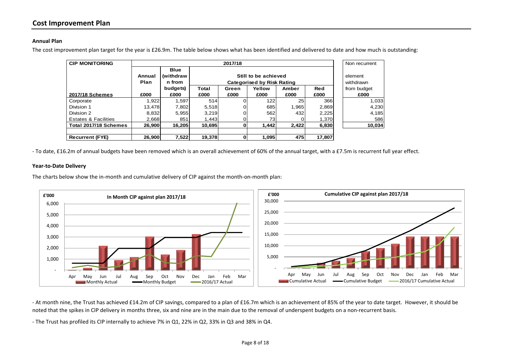#### **Annual Plan**

The cost improvement plan target for the year is £26.9m. The table below shows what has been identified and delivered to date and how much is outstanding:

| <b>CIP MONITORING</b>           |                | 2017/18                            |        |                                                           |        |                      |            |             |
|---------------------------------|----------------|------------------------------------|--------|-----------------------------------------------------------|--------|----------------------|------------|-------------|
|                                 | Annual<br>Plan | <b>Blue</b><br>(withdraw<br>n from |        | Still to be achieved<br><b>Categorised by Risk Rating</b> |        | element<br>withdrawn |            |             |
|                                 |                | budgets)                           | Total  | Green                                                     | Yellow | Amber                | <b>Red</b> | from budget |
| 2017/18 Schemes                 | £000           | £000                               | £000   | £000                                                      | £000   | £000                 | £000       | £000        |
| Corporate                       | 1.922          | 1,597                              | 514    |                                                           | 122    | 25                   | 366        | 1,033       |
| Division 1                      | 13.478         | 7.802                              | 5,518  | 0                                                         | 685    | 1.965                | 2,869      | 4,230       |
| Division 2                      | 8.832          | 5.955                              | 3.219  |                                                           | 562    | 432                  | 2,225      | 4,185       |
| <b>Estates &amp; Facilities</b> | 2.668          | 851                                | 1.443  |                                                           | 731    |                      | 1,370      | 586         |
| Total 2017/18 Schemes           | 26.900         | 16.205                             | 10,695 | 0                                                         | 1,442  | 2,422                | 6,830      | 10.034      |
|                                 |                |                                    |        |                                                           |        |                      |            |             |
| <b>Recurrent (FYE)</b>          | 26,900         | 7,522                              | 19,378 | 0                                                         | 1,095  | 475                  | 17,807     |             |

- To date, £16.2m of annual budgets have been removed which is an overall achievement of 60% of the annual target, with a £7.5m is recurrent full year effect.

#### **Year-to-Date Delivery**

The charts below show the in-month and cumulative delivery of CIP against the month-on-month plan:



- At month nine, the Trust has achieved £14.2m of CIP savings, compared to a plan of £16.7m which is an achievement of 85% of the year to date target. However, it should be noted that the spikes in CIP delivery in months three, six and nine are in the main due to the removal of underspent budgets on a non-recurrent basis.

- The Trust has profiled its CIP internally to achieve 7% in Q1, 22% in Q2, 33% in Q3 and 38% in Q4.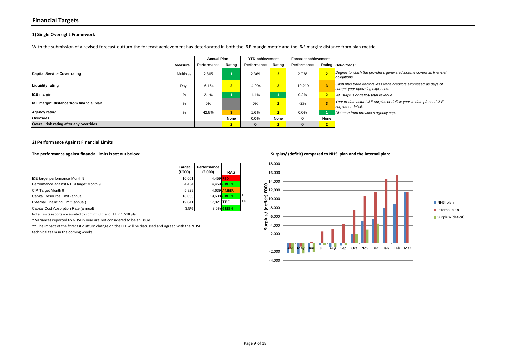#### **Financial Targets**

#### **1) Single Oversight Framework**

With the submission of a revised forecast outturn the forecast achievement has deteriorated in both the I&E margin metric and the I&E margin: distance from plan metric.

|                                          |           | <b>Annual Plan</b> |              | <b>YTD achievement</b> |                | <b>Forecast achievement</b> |           |                                                                                                       |
|------------------------------------------|-----------|--------------------|--------------|------------------------|----------------|-----------------------------|-----------|-------------------------------------------------------------------------------------------------------|
|                                          | Measure   | Performance        | Rating       | Performance            | Rating         | Performance                 |           | Rating Definitions:                                                                                   |
| <b>Capital Service Cover rating</b>      | Multiples | 2.805              |              | 2.369                  | $\overline{2}$ | 2.038                       |           | Degree to which the provider's generated income covers its financial<br>obligations.                  |
| <b>Liquidity rating</b>                  | Days      | $-6.154$           | 2            | $-4.294$               | $\overline{2}$ | $-10.219$                   |           | Cash plus trade debtors less trade creditors expressed as days of<br>current year operating expenses. |
| <b>I&amp;E</b> margin                    | %         | 2.1%               |              | 1.1%                   |                | 0.2%                        |           | I&E surplus or deficit/ total revenue.                                                                |
| I&E margin: distance from financial plan | %         | 0%                 |              | 0%                     | $\overline{2}$ | $-2%$                       |           | Year to date actual I&E surplus or deficit/ year to date planned I&E<br>surplus or deficit.           |
| <b>Agency rating</b>                     | %         | 42.9%              | 3            | 1.6%                   | $\overline{2}$ | 0.0%                        |           | Distance from provider's agency cap.                                                                  |
| Overrides                                |           |                    | None         | 0.0%                   | None           | - 0                         | None      |                                                                                                       |
| Overall risk rating after any overrides  |           |                    | $\mathbf{r}$ | 0                      | 2              |                             | $\bullet$ |                                                                                                       |

#### **2) Performance Against Financial Limits**

|                                         | Target<br>(E'000) | Performance<br>(£'000) | <b>RAG</b>   |        |
|-----------------------------------------|-------------------|------------------------|--------------|--------|
| I&E target performance Month 9          | 10.661            | 4.459 RED              |              |        |
| Performance against NHSI target Month 9 | 4.454             |                        | 4.459 GREEN  |        |
| CIP Target Month 9                      | 5.829             |                        | 4.639 AMBER  |        |
| Capital Resource Limit (annual)         | 18.033            |                        | 19.638 GREEN | $\ast$ |
| External Financing Limit (annual)       | 19.041            | 17.821 TBC             |              | **     |
| Capital Cost Absorption Rate (annual)   | 3.5%              |                        | 3.5% GREEN   |        |

Note: Limits reports are awaited to confirm CRL and EFL in 17/18 plan.

\* Variances reported to NHSI in year are not considered to be an issue.

\*\* The impact of the forecast outturn change on the EFL will be discussed and agreed with the NHSI

technical team in the coming weeks.

#### **The performance against financial limits is set out below: Surplus/ (deficit) compared to NHSI plan and the internal plan:**

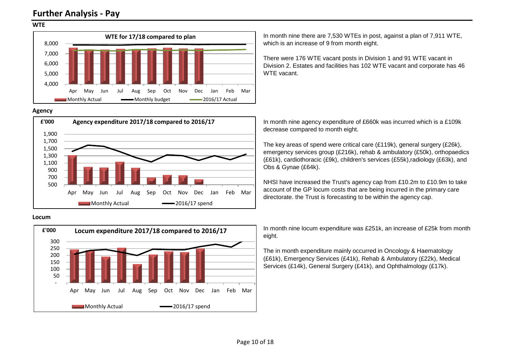## **Further Analysis - Pay**

#### **WTE**



#### **Agency**



#### **Locum**



In month nine there are 7,530 WTEs in post, against a plan of 7,911 WTE, which is an increase of 9 from month eight.

There were 176 WTE vacant posts in Division 1 and 91 WTE vacant in Division 2. Estates and facilities has 102 WTE vacant and corporate has 46 WTF vacant

In month nine agency expenditure of £660k was incurred which is a £109k decrease compared to month eight.

The key areas of spend were critical care (£119k), general surgery (£26k), emergency services group (£216k), rehab & ambulatory (£50k), orthopaedics (£61k), cardiothoracic (£9k), children's services (£55k),radiology (£63k), and Obs & Gynae (£64k).

NHSI have increased the Trust's agency cap from £10.2m to £10.9m to take account of the GP locum costs that are being incurred in the primary care directorate. the Trust is forecasting to be within the agency cap.

In month nine locum expenditure was £251k, an increase of £25k from month eight.

The in month expenditure mainly occurred in Oncology & Haematology (£61k), Emergency Services (£41k), Rehab & Ambulatory (£22k), Medical Services (£14k), General Surgery (£41k), and Ophthalmology (£17k).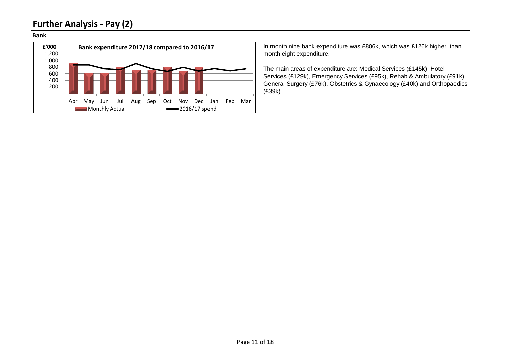## **Further Analysis - Pay (2)**

#### **Bank**



In month nine bank expenditure was £806k, which was £126k higher than month eight expenditure.

The main areas of expenditure are: Medical Services (£145k), Hotel Services (£129k), Emergency Services (£95k), Rehab & Ambulatory (£91k), General Surgery (£76k), Obstetrics & Gynaecology (£40k) and Orthopaedics (£39k).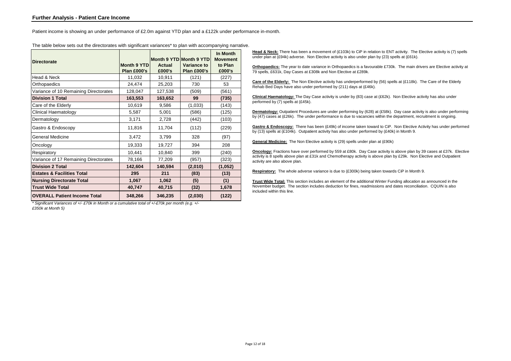Patient income is showing an under performance of £2.0m against YTD plan and a £122k under performance in-month.

| <b>Directorate</b>                    | <b>Month 9 YTD</b><br>Plan £000's | <b>Actual</b><br>£000's | Month 9 YTD Month 9 YTD<br>Variance to<br>Plan £000's | In Month<br><b>Movement</b><br>to Plan<br>£000's |
|---------------------------------------|-----------------------------------|-------------------------|-------------------------------------------------------|--------------------------------------------------|
| Head & Neck                           | 11,032                            | 10,911                  | (121)                                                 | (227)                                            |
| Orthopaedics                          | 24,474                            | 25,203                  | 730                                                   | 53                                               |
| Variance of 10 Remaining Directorates | 128,047                           | 127,538                 | (509)                                                 | (561)                                            |
| <b>Division 1 Total</b>               | 163,553                           | 163,652                 | 99                                                    | (735)                                            |
| Care of the Elderly                   | 10,619                            | 9,586                   | (1,033)                                               | (143)                                            |
| Clinical Haematology                  | 5,587                             | 5,001                   | (586)                                                 | (125)                                            |
| Dermatology                           | 3,171                             | 2,728                   | (442)                                                 | (103)                                            |
| Gastro & Endoscopy                    | 11,816                            | 11,704                  | (112)                                                 | (229)                                            |
| <b>General Medicine</b>               | 3,472                             | 3,799                   | 328                                                   | (97)                                             |
| Oncology                              | 19,333                            | 19,727                  | 394                                                   | 208                                              |
| Respiratory                           | 10,441                            | 10,840                  | 399                                                   | (240)                                            |
| Variance of 17 Remaining Directorates | 78,166                            | 77,209                  | (957)                                                 | (323)                                            |
| <b>Division 2 Total</b>               | 142,604                           | 140,594                 | (2,010)                                               | (1,052)                                          |
| <b>Estates &amp; Facilities Total</b> | 295                               | 211                     | (83)                                                  | (13)                                             |
| <b>Nursing Directorate Total</b>      | 1,067                             | 1,062                   | (5)                                                   | (1)                                              |
| <b>Trust Wide Total</b>               | 40,747                            | 40,715                  | (32)                                                  | 1,678                                            |
| <b>OVERALL Patient Income Total</b>   | 348,266                           | 346,235                 | (2,030)                                               | (122)                                            |

The table below sets out the directorates with significant variances\* to plan with accompanying narrative.

*\* Significant Variances of +/- £70k in Month or a cumulative total of +/-£70k per month (e.g. +/- £350k at Month 5)*

**Head & Neck:** There has been a movement of (£103k) to CiP in relation to ENT activity. The Elective activity is (7) spells under plan at  $(E94k)$  adverse. Non Elective activity is also under plan by (23) spells at  $(E61k)$ .

**Orthopaedics:** The year to date variance in Orthopaedics is a favourable £730k. The main drivers are Elective activity at 79 spells, £631k, Day Cases at £308k and Non Elective at £289k.

**Care of the Elderly:** The Non Elective activity has underperformed by (56) spells at (£118k). The Care of the Elderly Rehab Bed Days have also under performed by (211) days at (£46k).

**Clinical Haematology:** The Day Case activity is under by (83) case at (£62k). Non Elective activity has also under performed by (7) spells at (£45k).

**Dermatology:** Outpatient Procedures are under performing by (628) at (£58k). Day case activity is also under performing by (47) cases at (£26k). The under performance is due to vacancies within the department, recruitment is ongoing.

**Gastro & Endoscopy:** There has been (£49k) of income taken toward to CiP. Non Elective Activity has under performed by (13) spells at (£104k). Outpatient activity has also under performed by (£40k) in Month 9.

**General Medicine:** The Non Elective activity is (29) spells under plan at (£90k)

**Oncology:** Fractions have over performed by 559 at £80k. Day Case activity is above plan by 39 cases at £37k. Elective activity is 8 spells above plan at £31k and Chemotherapy activity is above plan by £29k. Non Elective and Outpatient activity are also above plan.

**Respiratory:** The whole adverse variance is due to (£300k) being taken towards CiP in Month 9.

**Trust Wide Total:** This section includes an element of the additional Winter Funding allocation as announced in the November budget. The section includes deduction for fines, readmissions and dates reconciliation. CQUIN is also included within this line.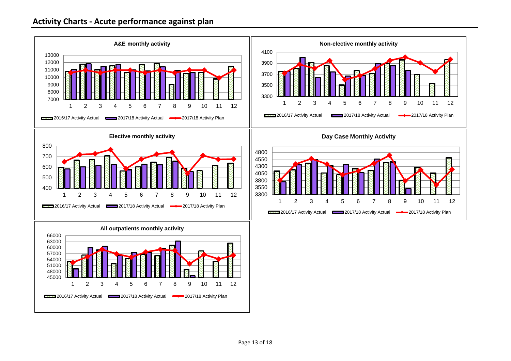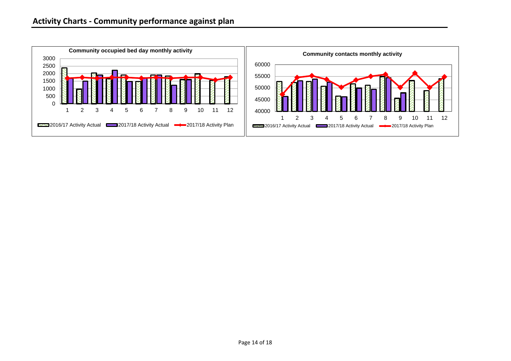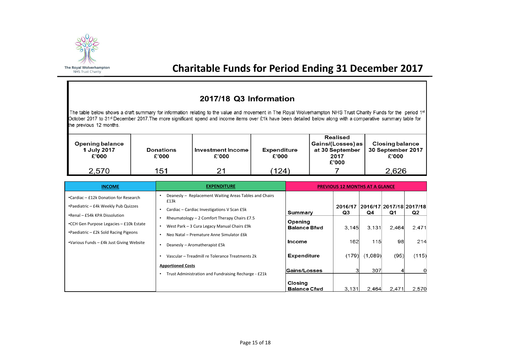

## **Charitable Funds for Period Ending 31 December 2017**

### 2017/18 Q3 Information

The table below shows a draft summary for information relating to the value and movement in The Royal Wolverhampton NHS Trust Charity Funds for the period 1st October 2017 to 31<sup>st</sup> December 2017. The more significant spend and income items over £1k have been detailed below along with a comparative summary table for the previous 12 months.

| Opening balance<br>1 July 2017<br>£'000 | Donations<br>£'000 | Investment Income<br>£'000 | <b>Expenditure</b><br>£'000 | <b>Realised</b><br>  Gains/(Losses) as  <br>at 30 September<br>2017<br>£'000 | Closing balance<br>30 September 2017<br>£'000 |
|-----------------------------------------|--------------------|----------------------------|-----------------------------|------------------------------------------------------------------------------|-----------------------------------------------|
| 2,570                                   | 151                | つ1                         | (124)                       |                                                                              | 2,626                                         |

| <b>INCOME</b>                                                                                                                                                                                                                                  | <b>EXPENDITURE</b>                                                                                                                                                                                                                                       |                                                                             | <b>PREVIOUS 12 MONTHS AT A GLANCE</b> |                                               |                   |                                |
|------------------------------------------------------------------------------------------------------------------------------------------------------------------------------------------------------------------------------------------------|----------------------------------------------------------------------------------------------------------------------------------------------------------------------------------------------------------------------------------------------------------|-----------------------------------------------------------------------------|---------------------------------------|-----------------------------------------------|-------------------|--------------------------------|
| •Cardiac – £12k Donation for Research<br>•Paediatric – £4k Weekly Pub Quizzes<br>•Renal – £54k KPA Dissolution<br>•CCH Gen Purpose Legacies - £10k Estate<br>•Paediatric – £2k Sold Racing Pigeons<br>•Various Funds – £4k Just Giving Website | Deanesly - Replacement Waiting Areas Tables and Chairs<br>£13k<br>Cardiac - Cardiac Investigations V Scan £5k<br>Rheumatology - 2 Comfort Therapy Chairs £7.5<br>West Park - 3 Cura Legacy Manual Chairs £9k<br>Neo Natal - Premature Anne Simulator £6k | Summary<br>Opening<br><b>Balance Bfwd</b><br>Income                         | 2016/17<br>Q3<br>3.145<br>162         | 2016/17 2017/18 2017/18<br>Q4<br>3.131<br>115 | Q1<br>2,464<br>98 | Q <sub>2</sub><br>2,471<br>214 |
|                                                                                                                                                                                                                                                | Deanesly - Aromatherapist £5k<br>Vascular - Treadmill re Tolerance Treatments 2k<br><b>Apportioned Costs</b><br>Trust Administration and Fundraising Recharge - £21k                                                                                     | <b>Expenditure</b><br><b>Gains/Losses</b><br>Closing<br><b>Balance Cfwd</b> | (179)<br>3<br>3.131                   | (1,089)<br>307<br>2.464                       | (95)<br>2.471     | (115)<br>2.570                 |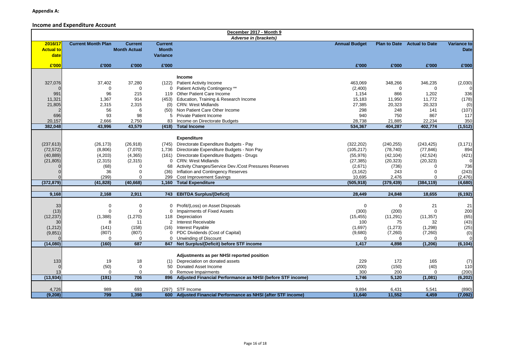#### **Income and Expenditure Account**

|                  |                           |                     |                 | December 2017 - Month 9                                       |                      |                     |                                    |                     |
|------------------|---------------------------|---------------------|-----------------|---------------------------------------------------------------|----------------------|---------------------|------------------------------------|---------------------|
|                  |                           |                     |                 | Adverse in (brackets)                                         |                      |                     |                                    |                     |
| 2016/17          | <b>Current Month Plan</b> | <b>Current</b>      | <b>Current</b>  |                                                               | <b>Annual Budget</b> |                     | <b>Plan to Date</b> Actual to Date | Variance to         |
| <b>Actual to</b> |                           | <b>Month Actual</b> | <b>Month</b>    |                                                               |                      |                     |                                    | <b>Date</b>         |
| date             |                           |                     | <b>Variance</b> |                                                               |                      |                     |                                    |                     |
|                  |                           |                     |                 |                                                               |                      |                     |                                    |                     |
| £'000            | £'000                     | £'000               | £'000           |                                                               | £'000                | £'000               | £'000                              | £'000               |
|                  |                           |                     |                 |                                                               |                      |                     |                                    |                     |
|                  |                           |                     |                 | Income                                                        |                      |                     |                                    |                     |
| 327,076          | 37,402                    | 37,280              | (122)           | <b>Patient Activity Income</b>                                | 463,069              | 348,266             | 346,235                            | (2,030)             |
|                  | $\mathbf 0$               | $\mathbf 0$         |                 | 0 Patient Activity Contingency **                             | (2,400)              | $\Omega$            | 0                                  |                     |
| 991              | 96                        | 215                 |                 | 119 Other Patient Care Income                                 | 1,154                | 866                 | 1,202                              | 336                 |
| 11,321           | 1,367                     | 914                 | (453)           | Education, Training & Research Income                         | 15,183               | 11,950              | 11,772                             | (178)               |
| 21,805           | 2,315                     | 2.315               | (0)             | <b>CRN: West Midlands</b>                                     | 27,385               | 20,323              | 20,323                             | (0)                 |
|                  | 56                        | 6                   | (50)            | Non Patient Care Other Income                                 | 298                  | 248                 | 141                                | (107)               |
| 696              | 93                        | 98                  | 5               | <b>Private Patient Income</b>                                 | 940                  | 750                 | 867                                | 117                 |
| 20,157           | 2.666                     | 2,750               | 83              | Income on Directorate Budgets                                 | 28,738               | 21,885              | 22,234                             | 350                 |
| 382,048          | 43,996                    | 43,579              | (418)           | <b>Total Income</b>                                           | 534,367              | 404,287             | 402,774                            | (1, 512)            |
|                  |                           |                     |                 |                                                               |                      |                     |                                    |                     |
|                  |                           |                     |                 | <b>Expenditure</b>                                            |                      |                     |                                    |                     |
| (237, 613)       | (26, 173)                 | (26, 918)           |                 | (745) Directorate Expenditure Budgets - Pay                   | (322, 202)           | (240, 255)          | (243, 425)                         | (3, 171)            |
| (72, 572)        | (8,806)                   | (7,070)             | 1,736           | Directorate Expenditure Budgets - Non Pay                     | (105, 217)           | (78, 740)           | (77, 846)                          | 894                 |
| (40, 889)        | (4,203)                   | (4,365)             | (161)           | Directorate Expenditure Budgets - Drugs                       | (55, 976)            | (42, 104)           | (42, 524)                          | (421)               |
|                  |                           |                     |                 | 0 CRN: West Midlands                                          |                      |                     |                                    | $\overline{0}$      |
| (21, 805)        | (2,315)                   | (2, 315)            |                 |                                                               | (27, 385)            | (20, 323)           | (20, 323)<br>U                     |                     |
|                  | (68)<br>36                | 0<br>$\Omega$       | 68              | Activity Changes/Service Dev./Cost Pressures Reserves         | (2,671)              | (736)<br>243        | $\Omega$                           | 736                 |
|                  |                           | $\Omega$            | (36)            | Inflation and Contingency Reserves                            | (3, 162)             |                     |                                    | (243)               |
| (372, 879)       | (299)<br>(41, 828)        | (40, 668)           | 299<br>1,160    | <b>Cost Improvement Savings</b><br><b>Total Expenditure</b>   | 10,695<br>(505, 918) | 2,476<br>(379, 439) | 0<br>(384, 119)                    | (2, 476)<br>(4,680) |
|                  |                           |                     |                 |                                                               |                      |                     |                                    |                     |
| 9,168            | 2,168                     | 2,911               |                 | 743 EBITDA Surplus/(Deficit)                                  | 28,449               | 24,848              | 18,655                             | (6, 192)            |
|                  |                           |                     |                 |                                                               |                      |                     |                                    |                     |
|                  |                           |                     |                 |                                                               |                      |                     |                                    |                     |
| 33               | 0                         | 0                   |                 | 0 Profit/(Loss) on Asset Disposals                            | 0                    | $\Omega$            | 21                                 | 21                  |
| (13)             | $\mathbf 0$               | $\mathbf 0$         | 0               | Impairments of Fixed Assets                                   | (300)                | (200)               | $\mathbf 0$                        | 200                 |
| (12, 237)        | (1,388)                   | (1,270)             |                 | 118 Depreciation                                              | (15, 455)            | (11, 291)           | (11, 357)                          | (65)                |
| 30               | 8                         | 11                  |                 | 2 Interest Receivable                                         | 100                  | 75                  | 32                                 | (43)                |
| (1, 212)         | (141)                     | (158)               | (16)            | Interest Payable                                              | (1,697)              | (1, 273)            | (1,298)                            | (25)                |
| (9, 851)         | (807)                     | (807)               |                 | 0 PDC Dividends (Cost of Capital)                             | (9,680)              | (7,260)             | (7,260)<br>$\Omega$                | (0)                 |
|                  | $\Omega$                  | $\Omega$            |                 | 0 Unwinding of Discount                                       | $\Omega$             | $\Omega$            |                                    | $\Omega$            |
| (14,080)         | (160)                     | 687                 |                 | 847 Net Surplus/(Deficit) before STF income                   | 1,417                | 4,898               | (1, 206)                           | (6, 104)            |
|                  |                           |                     |                 |                                                               |                      |                     |                                    |                     |
|                  |                           |                     |                 | Adjustments as per NHSI reported position                     |                      |                     |                                    |                     |
| 133              | 19                        | 18                  | (1)             | Depreciation on donated assets                                | 229                  | 172                 | 165                                | (7)                 |
|                  | (50)                      | 0                   | 50              | Donated Asset Income                                          | (200)                | (150)               | (40)                               | 110                 |
| 13               | $\Omega$                  | $\Omega$            | $\Omega$        | Remove Impairments                                            | 300                  | 200                 | $\Omega$                           | (200)               |
| (13,934)         | (191)                     | 706                 | 896             | Adjusted Financial Performance as NHSI (before STF income)    | 1,746                | 5,120               | (1,081)                            | (6, 202)            |
|                  |                           |                     |                 |                                                               |                      |                     |                                    |                     |
| 4,726            | 989                       | 693                 |                 | (297) STF Income                                              | 9,894                | 6,431               | 5,541                              | (890)               |
| (9, 208)         | 799                       | 1,398               |                 | 600 Adjusted Financial Performance as NHSI (after STF income) | 11,640               | 11,552              | 4,459                              | (7,092)             |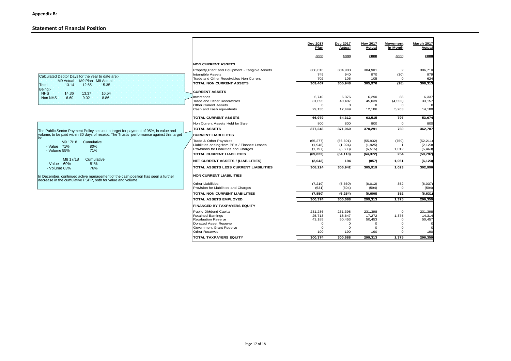#### **Statement of Financial Position**

|                                                                                                                                                 |                                                   | Dec 2017<br>Plan           | Dec 2017<br>Actual | <b>Nov 2017</b><br>Actual | Movement<br>in Month    | March 2017<br>Actual |
|-------------------------------------------------------------------------------------------------------------------------------------------------|---------------------------------------------------|----------------------------|--------------------|---------------------------|-------------------------|----------------------|
|                                                                                                                                                 |                                                   | £000                       | £000               | £000                      | £000                    | £000                 |
|                                                                                                                                                 | <b>NON CURRENT ASSETS</b>                         |                            |                    |                           |                         |                      |
|                                                                                                                                                 | Property, Plant and Equipment - Tangible Assets   | 308,016                    | 304,903            | 304,901                   | $\overline{2}$          | 306,710              |
| Calculated Debtor Days for the year to date are:-                                                                                               | Intangible Assets                                 | 749                        | 940                | 970                       | (30)                    | 979                  |
| M9 Actual M9 Plan M8 Actual                                                                                                                     | Trade and Other Receivables Non Current           | 702                        | 105                | 105                       | $\mathbf 0$             | 624                  |
| 12.65<br>15.35<br>13.14<br>Total                                                                                                                | TOTAL NON CURRENT ASSETS                          | 309,467                    | 305,948            | 305,976                   | (28)                    | 308,313              |
| Being:-<br><b>NHS</b><br>16.54<br>14.36<br>13.37                                                                                                | <b>CURRENT ASSETS</b>                             |                            |                    |                           |                         |                      |
| 6.60<br>8.86<br>Non NHS<br>9.02                                                                                                                 | Inventories                                       | 6.749                      | 6,376              | 6,290                     | 86                      | 6,337                |
|                                                                                                                                                 | Trade and Other Receivables                       | 31,095                     | 40,487             | 45,039                    | (4, 552)                | 33,157               |
|                                                                                                                                                 | <b>Other Current Assets</b>                       | $\mathbf 0$                | $\Omega$           | $\mathbf 0$               | $\Omega$                |                      |
|                                                                                                                                                 | Cash and cash equivalents                         | 29,135                     | 17,449             | 12,186                    | 5,263                   | 14,180               |
|                                                                                                                                                 | <b>TOTAL CURRENT ASSETS</b>                       | 66,979                     | 64,312             | 63,515                    | 797                     | 53,674               |
|                                                                                                                                                 | Non Current Assets Held for Sale                  | 800                        | 800                | 800                       | $\mathbf{O}$            | 800                  |
| The Public Sector Payment Policy sets out a target for payment of 95%, in value and                                                             | <b>TOTAL ASSETS</b>                               | 377,246                    | 371,060            | 370,291                   | 769                     | 362,787              |
| volume, to be paid within 30 days of receipt. The Trust's performance against this target                                                       | <b>CURRENT LIABLILITES</b>                        |                            |                    |                           |                         |                      |
| M9 17/18<br>Cumulative                                                                                                                          | Trade & Other Payables                            | (65, 277)                  | (56, 691)          | (55, 932)                 | (759)                   | (52, 211)            |
| - Value 71%<br>80%                                                                                                                              | Liabilities arising from PFIs / Finance Leases    | (1,948)                    | (1,924)            | (1,925)                   |                         | (2, 123)             |
| 71%<br>- Volume 55%                                                                                                                             | Provisions for Liabilities and Charges            | (1,797)                    | (5,503)            | (6, 515)                  | 1,012                   | (5, 463)             |
| M8 17/18                                                                                                                                        | <b>TOTAL CURRENT LIABILITIES</b>                  | (69, 022)                  | (64, 118)          | (64, 372)                 | 254                     | (59, 797)            |
| Cumulative<br>- Value 69%<br>81%                                                                                                                | <b>NET CURRENT ASSETS / (LIABILITIES)</b>         | (2,043)                    | 194                | (857)                     | 1,051                   | (6, 123)             |
| - Volume 63%<br>76%                                                                                                                             | TOTAL ASSETS LESS CURRENT LIABILITIES             | 308,224                    | 306,942            | 305,919                   | 1,023                   | 302,990              |
| In December, continued active management of the cash position has seen a further<br>decrease in the cumulative PSPP, both for value and volume. | <b>NON CURRENT LIABILITIES</b>                    |                            |                    |                           |                         |                      |
|                                                                                                                                                 | <b>Other Liabilities</b>                          | (7, 219)                   | (5,660)            | (6, 012)                  | 352                     | (6,037)              |
|                                                                                                                                                 | Provision for Liabilities and Charges             | (631)                      | (594)              | (594)                     | $\mathbf{O}$            | (594)                |
|                                                                                                                                                 | <b>TOTAL NON CURRENT LIABILITIES</b>              | (7, 850)                   | (6, 254)           | (6,606)                   | 352                     | (6, 631)             |
|                                                                                                                                                 | <b>TOTAL ASSETS EMPLOYED</b>                      | 300,374                    | 300,688            | 299,313                   | 1,375                   | 296,359              |
|                                                                                                                                                 | <b>FINANCED BY TAXPAYERS EQUITY</b>               |                            |                    |                           |                         |                      |
|                                                                                                                                                 | <b>Public Dividend Capital</b>                    | 231.286                    | 231,398            | 231,398                   | $\mathbf{O}$            | 231,398              |
|                                                                                                                                                 | <b>Retained Earnings</b>                          | 25,713                     | 18,647             | 17,272                    | 1,375                   | 14,314               |
|                                                                                                                                                 | <b>Revaluation Reserve</b>                        | 43,185                     | 50,453<br>$\Omega$ | 50,453<br>$\Omega$        | $\mathbf 0$<br>$\Omega$ | 50,457               |
|                                                                                                                                                 | Donated Asset Reserve<br>Government Grant Reserve | $\mathbf 0$<br>$\mathbf 0$ | $\mathbf 0$        | $\Omega$                  | $\Omega$                |                      |
|                                                                                                                                                 | <b>Other Reserves</b>                             | 190                        | 190                | 190                       | $\Omega$                | 190                  |
|                                                                                                                                                 | <b>TOTAL TAXPAYERS EQUITY</b>                     | 300,374                    | 300,688            | 299,313                   | 1,375                   | 296,359              |